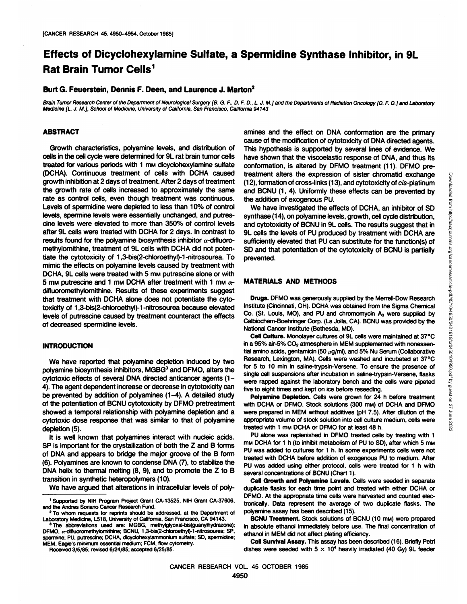# **Effects of Dicyclohexylamine Sulfate, a Spermidine Synthase Inhibitor, in 9L Rat Brain Tumor Cells1**

## **Burt G. Feuerstein, Dennis F. Deen, and Laurence J. Marlon2**

Brain Tumor Research Center of the Department of Neurological Surgery [B. G. F., D. F. D., L. J. M.] and the Departments of Radiation Oncology [D. F. D.] and Laboratory Medicine [L. J. M.], School of Medicine, University of California, San Francisco, California 94143

## **ABSTRACT**

Growth characteristics, polyamine levels, and distribution of cells in the cell cycle were determined for 9L rat brain tumor cells treated for various periods with 1 mw dicyclohexylamine sulfate (DOHA). Continuous treatment of cells with DCHA caused growth inhibition at 2 days of treatment. After 2 days of treatment the growth rate of cells increased to approximately the same rate as control cells, even though treatment was continuous. Levels of spermidine were depleted to less than 10% of control levels, spermine levels were essentially unchanged, and putrescine levels were elevated to more than 350% of control levels after 9L cells were treated with DCHA for 2 days. In contrast to results found for the polyamine biosynthesis inhibitor  $\alpha$ -difluoromethylomithine, treatment of 9L cells with DCHA did not poten tiate the cytotoxicity of 1,3-bis(2-chloroethyl)-1-nitrosourea. To mimic the effects on polyamine levels caused by treatment with DCHA, 9L cells were treated with 5 mm putrescine alone or with 5 mm putrescine and 1 mm DCHA after treatment with 1 mm  $\alpha$ difluoromethylomithine. Results of these experiments suggest that treatment with DCHA alone does not potentiate the cyto toxicity of 1,3-bis(2-chloroethyl)-1-nitrosourea because elevated levels of putrescine caused by treatment counteract the effects of decreased spermidine levels.

#### **INTRODUCTION**

We have reported that polyamine depletion induced by two polyamine biosynthesis inhibitors, MGBG<sup>3</sup> and DFMO, alters the cytotoxic effects of several DNA directed anticancer agents (1- 4). The agent dependent increase or decrease in cytotoxicity can be prevented by addition of polyamines (1-4). A detailed study of the potentiation of BCNU cytotoxicity by DFMO pretreatment showed a temporal relationship with polyamine depletion and a cytotoxic dose response that was similar to that of polyamine depletion (5).

It is well known that polyamines interact with nucleic acids. SP is important for the crystallization of both the Z and B forms of DNA and appears to bridge the major groove of the B form (6). Polyamines are known to condense DNA (7), to stabilize the DNA helix to thermal melting (8, 9), and to promote the Z to B transition in synthetic heteropdymers (10).

We have argued that alterations in intracellular levels of poly-

**Received 3/5/85; revised 6/24/85; accepted 6/25/85.**

amines and the effect on DNA conformation are the primary cause of the modification of cytotoxicity of DNA directed agents. This hypothesis is supported by several lines of evidence. We have shown that the viscoelastic response of DNA, and thus its conformation, is altered by DFMO treatment (11). DFMO pre  $(12)$ , formation of cross-links  $(13)$ , and cytotoxicity of cis-platinum and BCNU (1, 4). Uniformly these effects can be prevented by the addition of exogenous PU.

We have investigated the effects of DCHA, an inhibitor of SD synthase (14), on polyamine levels, growth, cell cycle distribution, and cytotoxicity of BCNU in 9L cells. The results suggest that in 9L cells the levels of PU produced by treatment with DCHA are sufficiently elevated that PU can substitute for the function(s) of SD and that potentiation of the cytotoxicity of BCNU is partially prevented.

## **MATERIALS AND METHODS**

**Drugs. DFMO was generously supplied by the Merrell-Dow Research** Institute (Cincinnati, OH). DCHA was obtained from the Sigma Chemical Co. (St. Louis, MO), and PU and chromomycin  $A_3$  were supplied by Calbiochem-Boehringer Corp. (La Jolla, CA). BCNU was provided by the National Cancer Institute (Bethesda, MD).

treatment alters the expression of sister chromatid exchange<br>
(12), formation of roots-links (13), and cytotoxicity of cis-platinum<br>
and BCNU (1, 4). Uniformly these effects of DCHA, an inhibitor of SD<br>
We have investigat **Cell Culture. Monolayer cultures of 9L cells were maintained at 37°C** in a 95% air-5% CO<sub>2</sub> atmosphere in MEM supplemented with nonessential amino acids, gentamicin (50  $\mu$ g/ml), and 5% Nu Serum (Collaborative Research, Lexington, MA). Cells were washed and incubated at 37°C for 5 to 10 min in saline-trypsin-Versene. To ensure the presence of single cell suspensions after incubation in saline-trypsin-Versene, flasks were rapped against the laboratory bench and the cells were pipeted five to eight times and kept on ice before reseeding.

**Polyamine Depletion. Cells were grown for 24 h before treatment** with DCHA or DFMO. Stock solutions (300 mm) of DCHA and DFMO were prepared in MEM without additives (pH 7.5). After dilution of the appropriate volume of stock solution into cell culture medium, cells were treated with 1 mw DCHA or DFMO for at least 48 h.

PU alone was replenished in DFMO treated cells by treating with 1 mm DCHA for 1 h (to inhibit metabolism of PU to SD), after which 5 mm PU was added to cultures for 1 h. In some experiments cells were not treated with DCHA before addition of exogenous PU to medium. After PU was added using either protocol, cells were treated for 1 h with several concentrations of BCNU (Chart 1).

**Cell Growth and Polyamine Levels. Cells were seeded in separate** duplicate flasks for each time point and treated with either DCHA or DFMO. At the appropriate time cells were harvested and counted elec tronically. Data represent the average of two duplicate flasks. The polyamine assay has been described (15).

**BCNU Treatment. Stock solutions of BCNU (10 mM) were prepared** in absolute ethanol immediately before use. The final concentration of ethanol in MEM did not affect plating efficiency.

**Cell Survival Assay. This assay has been described (16). Briefly Retri** dishes were seeded with  $5 \times 10^4$  heavily irradiated (40 Gy) 9L feeder

<sup>1</sup>Supported by NIH Program Project Grant CA-13525, NIH Grant CA-37606, and the Andres Soriano Cancer Research Fund.

<sup>2</sup>To whom requests for reprints should be addressed, at the Department of Laboratory Medicine, L518, University of California, San Francisco, CA 94143.

<sup>3</sup>The abbreviations used are: MGBG, methyiglyoxal-bis(guanylhydrazone): DFMO, a-difluorornethylomithine; BCNU, 1,3-bis(2-chloroethyi)-1-nitrosourea; SP, spermine; PU, putrescine; DCHA, dicyclohexylammonium sulfate; SD, spermidine;<br>MEM, Eagle's minimum essential medium; FCM, flow cytometry.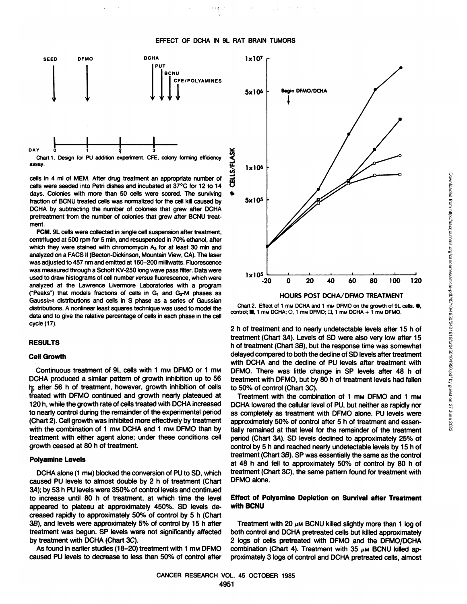#### **EFFECT OF DCHA IN 9L RAT BRAIN TUMORS**



Chart 1. Design for PU addition experiment. CFE, colony forming efficiency assay.

cells in 4 ml of MEM. After drug treatment an appropriate number of cells were seeded into Petri dishes and incubated at 37°C for 12 to 14 days. Colonies with more than 50 cells were scored. The surviving fraction of BCNU treated cells was normalized for the cell kill caused by DCHA by subtracting the number of colonies that grew after DCHA pretreatment from the number of colonies that grew after BCNU treatment.

FCM. 9L cells were collected in single cell suspension after treatment, centrifuged at 500 rpm for 5 min, and resuspended in 70% ethanol, after which they were stained with chromomycin A<sub>3</sub> for at least 30 min and analyzed on a FACS II (Becton-Dickinson, Mountain View, CA). The laser was adjusted to 457 nm and emitted at 160-200 milliwatts. Fluorescence was measured through a Schott KV-250 long wave pass filter. Data were used to draw histograms of cell number versus fluorescence, which were analyzed at the Lawrence Livermore Laboratories with a program ("Peaks") that models fractions of cells in  $G_1$  and  $G_2$ -M phases as Gaussian distributions and cells in S phase as a series of Gaussian distributions. A nonlinear least squares technique was used to model the data and to give the relative percentage of cells in each phase in the cell cycle (17).

#### **RESULTS**

### **Cell Growth**

Continuous treatment of 9L cells with 1 mm DFMO or 1 mm DCHA produced a similar pattern of growth inhibition up to 56 h; after 56 h of treatment, however, growth inhibition of cells treated with DFMO continued and growth nearly plateaued at 120 h, while the growth rate of cells treated with DCHA increased to nearly control during the remainder of the experimental period (Chart 2). Cell growth was inhibited more effectively by treatment with the combination of 1 mw DCHA and 1 mw DFMO than by treatment with either agent alone; under these conditions cell growth ceased at 80 h of treatment.

#### **Polyamine Levels**

DCHA alone (1 mw) blocked the conversion of PU to SD, which caused PU levels to almost double by 2 h of treatment (Chart 3A); by 53 h PU levels were 350% of control levels and continued to increase until 80 h of treatment, at which time the level appeared to plateau at approximately 450%. SD levels de creased rapidly to approximately 50% of control by 5 h (Chart 3B), and levels were approximately 5% of control by 15 h after treatment was begun. SP levels were not significantly affected by treatment with DCHA (Chart 3C).

As found in earlier studies (18-20) treatment with 1 mw DFMO caused PU levels to decrease to less than 50% of control after



Chart 2. Effect of 1 mm DCHA and 1 mm DFMO on the growth of 9L cells.  $\bullet$ , control;  $\blacksquare$ , 1 mm DCHA; O, 1 mm DFMO;  $\square$ , 1 mm DCHA + 1 mm DFMO.

2 h of treatment and to nearly undetectable levels after 15 h of h of treatment (Chart 3B), but the response time was somewhat delayed compared to both the decline of SD levels after treatment with DCHA and the decline of PU levels after treatment with DFMO. There was little change in SP levels after 48 h of treatment with DFMO, but by 80 h of treatment levels had fallen to 50% of control (Chart 3C).

Treatment with the combination of 1 mm DFMO and 1 mm DCHA lowered the cellular level of PU, but neither as rapidly nor as completely as treatment with DFMO alone. PU levels were approximately 50% of control after 5 h of treatment and essentially remained at that level for the remainder of the treatment period (Chart 3A). SD levels declined to approximately 25% of control by 5 h and reached nearly undetectable levels by 15 h of treatment (Chart 38). SP was essentially the same as the control at 48 h and fell to approximately 50% of control by 80 h of treatment (Chart 3C), the same pattern found for treatment with DFMO alone.

# **Effect of Polyamine Depletion on Survival after Treatment with BCNU**

Treatment with 20  $\mu$ M BCNU killed slightly more than 1 log of both control and DCHA pretreated cells but killed approximately 2 logs of cells pretreated with DFMO and the DFMO/DCHA combination (Chart 4). Treatment with 35  $\mu$ M BCNU killed approximately 3 logs of control and DCHA pretreated cells, almost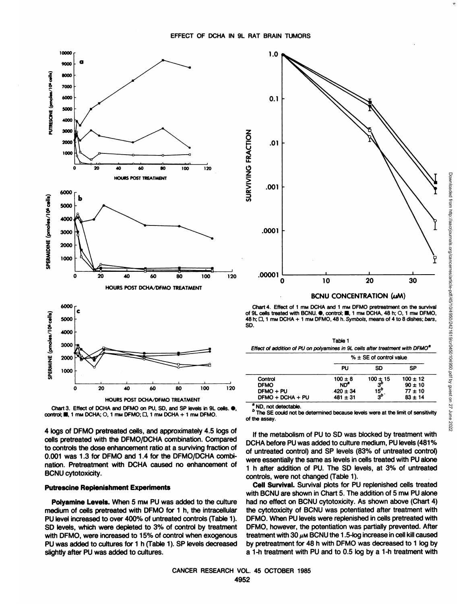



4 logs of DFMO pretreated cells, and approximately 4.5 logs of cells pretreated with the DFMO/DCHA combination. Compared to controls the dose enhancement ratio at a surviving fraction of 0.001 was 1.3 for DFMO and 1.4 for the DFMO/DCHA combination. Pretreatment with DCHA caused no enhancement of BCNU cytotoxicity.

## **Putrescine Replenishment Experiments**

**Polyamine Levels. When 5 mM PU was added to the culture** medium of cells pretreated with DFMO for 1 h, the intracellular PU level increased to over 400% of untreated controls (Table 1). SD levels, which were depleted to 3% of control by treatment with DFMO, were increased to 15% of control when exogenous PU was added to cultures for 1 h (Table 1). SP levels decreased slightly after PU was added to cultures.



Chart 4. Effect of 1 mm DCHA and 1 mm DFMO pretreatment on the survival 48 h;  $\Box$ , 1 mm DCHA + 1 mm DFMO, 48 h. Symbols, means of 4 to 8 dishes; bars, SD.

| Table 1                                                                                   |  |
|-------------------------------------------------------------------------------------------|--|
| Effect of addition of PU on polyamines in 9L cells after treatment with DFMO <sup>a</sup> |  |

|                  | $% \pm$ SE of control value |                 |              |
|------------------|-----------------------------|-----------------|--------------|
|                  | PU                          | SD              | <b>SP</b>    |
| Control          | $100 \pm 8$                 | $100 \pm 15$    | $100 \pm 12$ |
| <b>DFMO</b>      | ND <sup>®</sup>             | 3               | $90 \pm 10$  |
| DFMO + PU        | $.420 \pm 34$               | 15 <sup>0</sup> | $77 \pm 10$  |
| DFMO + DCHA + PU | $481 \pm 31$                | $3^b$           | $83 \pm 14$  |
|                  |                             |                 |              |

ND, not detectable

b The SE could not be determined because levels were at the limit of sensitivity of the assay.

If the metabolism of PU to SD was blocked by treatment with DCHA before PU was added to culture medium, PU levels (481% of untreated control) and SP levels (83% of untreated control) were essentially the same as levels in cells treated with PU alone 1 h after addition of PU. The SD levels, at 3% of untreated controls, were not changed (Table 1).

**Cell Survival. Survival plots for PU replenished cells treated** with BCNU are shown in Chart 5. The addition of 5 mm PU alone had no effect on BCNU cytotoxicity. As shown above (Chart 4) the cytotoxicity of BCNU was potentiated after treatment with DFMO. When PU levels were replenished in cells pretreated with DFMO, however, the potentiation was partially prevented. After treatment with 30  $\mu$ M BCNU the 1.5-log increase in cell kill caused by pretreatment for 48 h with DFMO was decreased to 1 log by a 1-h treatment with PU and to 0.5 log by a 1-h treatment with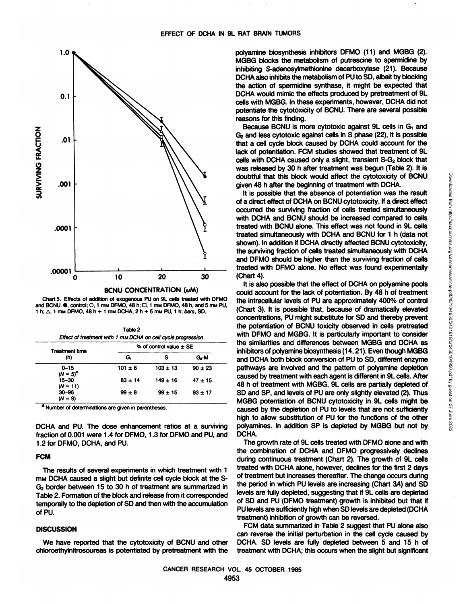

Chart 5. Effects of addition of exogenous PU on 9L cells treated with DFMO and BCNU. ., control; O, 1 mm DFMO, 48 h; D, 1 mm DFMO, 48 h, and 5 mm PU, 1 h;  $\Delta$ , 1 mm DFMO, 48 h + 1 mm DCHA, 2 h + 5 mm PU, 1 h; bars, SD.

| Table 2                                                      |  |
|--------------------------------------------------------------|--|
| Effect of treatment with 1 mm DCHA on cell cycle progression |  |

| <b>Treatment time</b><br>(h) | % of control value $\pm$ SE |              |             |  |
|------------------------------|-----------------------------|--------------|-------------|--|
|                              | G.                          | s            | G-M         |  |
| $0 - 15$<br>$(N = 5)^{a}$    | $101 \pm 6$                 | $103 \pm 13$ | $90 \pm 23$ |  |
| $15 - 30$<br>$(N = 11)$      | $83 + 14$                   | $149 \pm 16$ | $47 + 15$   |  |
| $30 - 96$<br>$(N = 9)$       | $99 \pm 8$                  | $99 + 15$    | $93 + 17$   |  |

a Number of determinations are given in parentheses.

DCHA and PU. The dose enhancement ratios at a surviving fraction of 0.001 were 1.4 for DFMO, 1.3 for DFMO and PU, and 1.2 for DFMO, DCHA, and PU.

# **FCM**

The results of several experiments in which treatment with 1 mm DCHA caused a slight but definite cell cycle block at the S-G<sub>2</sub> border between 15 to 30 h of treatment are summarized in Table 2. Formation of the block and release from it corresponded temporally to the depletion of SD and then with the accumulation of PU.

# **DISCUSSION**

We have reported that the cytotoxicity of BCNU and other chloroethylnitrosoureas is potentiated by pretreatment with the polyamine biosynthesis inhibitors DFMO (11) and MGBG (2). MGBG blocks the metabolism of putrescine to spermidine by inhibiting S-adenosylmethionine decarboxylase (21). Because DCHA also inhibits the metabolism of PU to SD, albeit by blocking the action of spermidine synthase, it might be expected that DCHA would mimic the effects produced by pretreatment of 9L cells with MGBG. In these experiments, however, DCHA did not potentiate the cytotoxicity of BCNU. There are several possible reasons for this finding.

Because BCNU is more cytotoxic against 9L cells in G<sub>1</sub> and G<sub>2</sub> and less cytotoxic against cells in S phase (22), it is possible that a cell cycle block caused by DCHA could account for the lack of potentiation. FCM studies showed that treatment of 9L cells with DCHA caused only a slight, transient S-G<sub>2</sub> block that was released by 30 h after treatment was begun (Table 2). It is doubtful that this block would affect the cytotoxicity of BCNU given 48 h after the beginning of treatment with DCHA.

It is possible that the absence of potentiation was the result of a direct effect of DCHA on BCNU cytotoxicity. If a direct effect occurred the surviving fraction of cells treated simultaneously with DCHA and BCNU should be increased compared to cells treated with BCNU alone. This effect was not found in 9L cells treated simultaneously with DCHA and BCNU for 1 h (data not shown). In addition if DCHA directly affected BCNU cytotoxicity, the surviving fraction of cells treated simultaneously with DCHA and DFMO should be higher than the surviving fraction of cells treated with DFMO alone. No effect was found experimentally (Chart 4).

It is also possible that the effect of DCHA on polyamine pools could account for the lack of potentiation. By 48 h of treatment the intracellular levels of PU are approximately 400% of control (Chart 3). It is possible that, because of dramatically elevated concentrations, PU might substitute for SD and thereby prevent the potentiation of BCNU toxicity observed in cells pretreated with DFMO and MGBG. It is particularly important to consider the similarities and differences between MGBG and DCHA as inhibitors of polyamine biosynthesis (14, 21). Even though MGBG and DCHA both block conversion of PU to SD, different enzyme pathways are involved and the pattern of polyamine depletion caused by treatment with each agent is different in 9L cells. After 48 h of treatment with MGBG, 9L cells are partially depleted of SD and SP, and levels of PU are only slightly elevated (2). Thus MGBG potentiation of BCNU cytotoxicity in 9L cells might be caused by the depletion of PU to levels that are not sufficiently high to allow substitution of PU for the functions of the other polyamines. In addition SP is depleted by MGBG but not by DCHA.

The growth rate of 9L cells treated with DFMO alone and with the combination of DCHA and DFMO progressively declines during continuous treatment (Chart 2). The growth of 9L cells treated with DCHA alone, however, declines for the first 2 days of treatment but increases thereafter. The change occurs during the period in which PU levels are increasing (Chart 3A) and SD levels are fully depleted, suggesting that if 9L cells are depleted of SD and PU (DFMO treatment) growth is inhibited but that if PU levels are sufficiently high when SD levels are depleted (DCHA treatment) inhibition of growth can be reversed.

FCM data summarized in Table 2 suggest that PU alone also can reverse the initial perturbation in the cell cycle caused by DCHA. SD levels are fully depleted between 5 and 15 h of treatment with DCHA; this occurs when the slight but significant